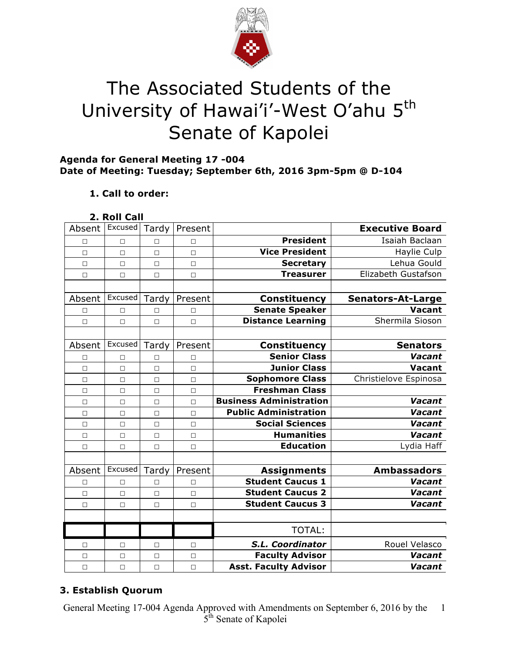

# The Associated Students of the University of Hawai'i'-West O'ahu 5<sup>th</sup> Senate of Kapolei

### **Agenda for General Meeting 17 -004 Date of Meeting: Tuesday; September 6th, 2016 3pm-5pm @ D-104**

# **1. Call to order:**

#### **2. Roll Call**

| Absent | Excused | Tardy  | Present |                                | <b>Executive Board</b>   |
|--------|---------|--------|---------|--------------------------------|--------------------------|
| П      | $\Box$  | $\Box$ | П       | <b>President</b>               | Isaiah Baclaan           |
| П      | $\Box$  | $\Box$ | $\Box$  | <b>Vice President</b>          | Haylie Culp              |
| $\Box$ | $\Box$  | $\Box$ | $\Box$  | <b>Secretary</b>               | Lehua Gould              |
| $\Box$ | $\Box$  | $\Box$ | $\Box$  | <b>Treasurer</b>               | Elizabeth Gustafson      |
|        |         |        |         |                                |                          |
| Absent | Excused | Tardy  | Present | <b>Constituency</b>            | <b>Senators-At-Large</b> |
| П      | $\Box$  | П      | П       | <b>Senate Speaker</b>          | <b>Vacant</b>            |
| $\Box$ | $\Box$  | $\Box$ | $\Box$  | <b>Distance Learning</b>       | Shermila Sioson          |
|        |         |        |         |                                |                          |
| Absent | Excused | Tardy  | Present | <b>Constituency</b>            | <b>Senators</b>          |
| П      | П       | П      | П       | <b>Senior Class</b>            | Vacant                   |
| $\Box$ | $\Box$  | $\Box$ | $\Box$  | <b>Junior Class</b>            | Vacant                   |
| $\Box$ | $\Box$  | $\Box$ | $\Box$  | <b>Sophomore Class</b>         | Christielove Espinosa    |
| $\Box$ | $\Box$  | $\Box$ | $\Box$  | <b>Freshman Class</b>          |                          |
| $\Box$ | $\Box$  | $\Box$ | $\Box$  | <b>Business Administration</b> | Vacant                   |
| $\Box$ | $\Box$  | $\Box$ | $\Box$  | <b>Public Administration</b>   | Vacant                   |
| $\Box$ | $\Box$  | $\Box$ | $\Box$  | <b>Social Sciences</b>         | Vacant                   |
| $\Box$ | $\Box$  | $\Box$ | $\Box$  | <b>Humanities</b>              | Vacant                   |
| $\Box$ | $\Box$  | $\Box$ | $\Box$  | <b>Education</b>               | Lydia Haff               |
|        |         |        |         |                                |                          |
| Absent | Excused | Tardy  | Present | <b>Assignments</b>             | <b>Ambassadors</b>       |
| $\Box$ | $\Box$  | $\Box$ | $\Box$  | <b>Student Caucus 1</b>        | Vacant                   |
| $\Box$ | $\Box$  | $\Box$ | $\Box$  | <b>Student Caucus 2</b>        | Vacant                   |
| $\Box$ | $\Box$  | $\Box$ | $\Box$  | <b>Student Caucus 3</b>        | Vacant                   |
|        |         |        |         |                                |                          |
|        |         |        |         | <b>TOTAL:</b>                  |                          |
| □      | □       | □      | $\Box$  | S.L. Coordinator               | Rouel Velasco            |
| $\Box$ | $\Box$  | $\Box$ | $\Box$  | <b>Faculty Advisor</b>         | Vacant                   |
| $\Box$ | $\Box$  | $\Box$ | $\Box$  | <b>Asst. Faculty Advisor</b>   | Vacant                   |

# **3. Establish Quorum**

General Meeting 17-004 Agenda Approved with Amendments on September 6, 2016 by the 5<sup>th</sup> Senate of Kapolei 1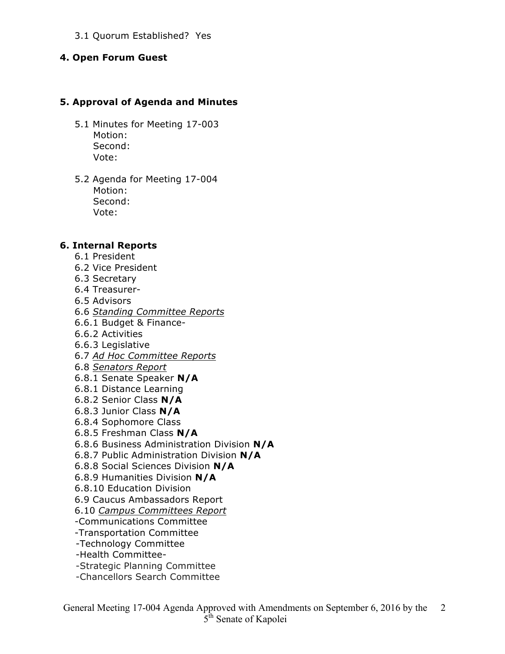#### 3.1 Quorum Established? Yes

#### **4. Open Forum Guest**

#### **5. Approval of Agenda and Minutes**

- 5.1 Minutes for Meeting 17-003 Motion: Second: Vote:
- 5.2 Agenda for Meeting 17-004 Motion: Second: Vote:

#### **6. Internal Reports**

- 6.1 President
- 6.2 Vice President
- 6.3 Secretary
- 6.4 Treasurer-
- 6.5 Advisors
- 6.6 *Standing Committee Reports*
- 6.6.1 Budget & Finance-
- 6.6.2 Activities
- 6.6.3 Legislative
- 6.7 *Ad Hoc Committee Reports*
- 6.8 *Senators Report*
- 6.8.1 Senate Speaker **N/A**
- 6.8.1 Distance Learning
- 6.8.2 Senior Class **N/A**
- 6.8.3 Junior Class **N/A**
- 6.8.4 Sophomore Class
- 6.8.5 Freshman Class **N/A**
- 6.8.6 Business Administration Division **N/A**
- 6.8.7 Public Administration Division **N/A**
- 6.8.8 Social Sciences Division **N/A**
- 6.8.9 Humanities Division **N/A**
- 6.8.10 Education Division
- 6.9 Caucus Ambassadors Report
- 6.10 *Campus Committees Report*
- -Communications Committee
- -Transportation Committee
- -Technology Committee
- -Health Committee-
- -Strategic Planning Committee
- -Chancellors Search Committee